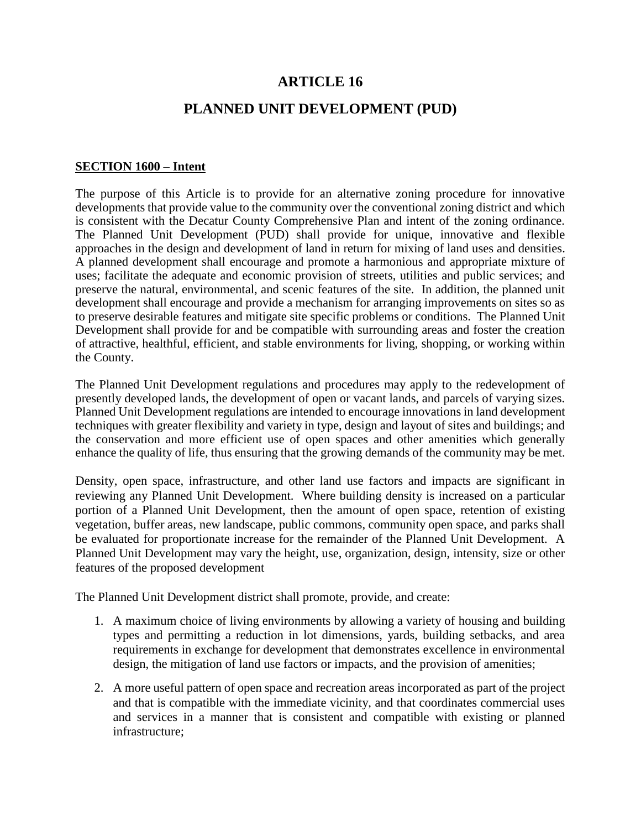# **ARTICLE 16**

# **PLANNED UNIT DEVELOPMENT (PUD)**

#### **SECTION 1600 – Intent**

The purpose of this Article is to provide for an alternative zoning procedure for innovative developments that provide value to the community over the conventional zoning district and which is consistent with the Decatur County Comprehensive Plan and intent of the zoning ordinance. The Planned Unit Development (PUD) shall provide for unique, innovative and flexible approaches in the design and development of land in return for mixing of land uses and densities. A planned development shall encourage and promote a harmonious and appropriate mixture of uses; facilitate the adequate and economic provision of streets, utilities and public services; and preserve the natural, environmental, and scenic features of the site. In addition, the planned unit development shall encourage and provide a mechanism for arranging improvements on sites so as to preserve desirable features and mitigate site specific problems or conditions. The Planned Unit Development shall provide for and be compatible with surrounding areas and foster the creation of attractive, healthful, efficient, and stable environments for living, shopping, or working within the County.

The Planned Unit Development regulations and procedures may apply to the redevelopment of presently developed lands, the development of open or vacant lands, and parcels of varying sizes. Planned Unit Development regulations are intended to encourage innovations in land development techniques with greater flexibility and variety in type, design and layout of sites and buildings; and the conservation and more efficient use of open spaces and other amenities which generally enhance the quality of life, thus ensuring that the growing demands of the community may be met.

Density, open space, infrastructure, and other land use factors and impacts are significant in reviewing any Planned Unit Development. Where building density is increased on a particular portion of a Planned Unit Development, then the amount of open space, retention of existing vegetation, buffer areas, new landscape, public commons, community open space, and parks shall be evaluated for proportionate increase for the remainder of the Planned Unit Development. A Planned Unit Development may vary the height, use, organization, design, intensity, size or other features of the proposed development

The Planned Unit Development district shall promote, provide, and create:

- 1. A maximum choice of living environments by allowing a variety of housing and building types and permitting a reduction in lot dimensions, yards, building setbacks, and area requirements in exchange for development that demonstrates excellence in environmental design, the mitigation of land use factors or impacts, and the provision of amenities;
- 2. A more useful pattern of open space and recreation areas incorporated as part of the project and that is compatible with the immediate vicinity, and that coordinates commercial uses and services in a manner that is consistent and compatible with existing or planned infrastructure;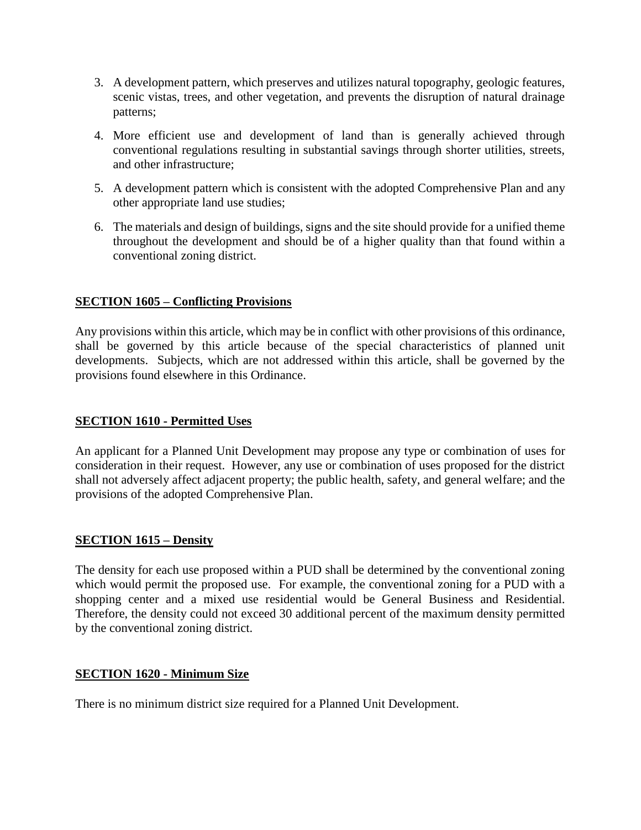- 3. A development pattern, which preserves and utilizes natural topography, geologic features, scenic vistas, trees, and other vegetation, and prevents the disruption of natural drainage patterns;
- 4. More efficient use and development of land than is generally achieved through conventional regulations resulting in substantial savings through shorter utilities, streets, and other infrastructure;
- 5. A development pattern which is consistent with the adopted Comprehensive Plan and any other appropriate land use studies;
- 6. The materials and design of buildings, signs and the site should provide for a unified theme throughout the development and should be of a higher quality than that found within a conventional zoning district.

### **SECTION 1605 – Conflicting Provisions**

Any provisions within this article, which may be in conflict with other provisions of this ordinance, shall be governed by this article because of the special characteristics of planned unit developments. Subjects, which are not addressed within this article, shall be governed by the provisions found elsewhere in this Ordinance.

#### **SECTION 1610 - Permitted Uses**

An applicant for a Planned Unit Development may propose any type or combination of uses for consideration in their request. However, any use or combination of uses proposed for the district shall not adversely affect adjacent property; the public health, safety, and general welfare; and the provisions of the adopted Comprehensive Plan.

### **SECTION 1615 – Density**

The density for each use proposed within a PUD shall be determined by the conventional zoning which would permit the proposed use. For example, the conventional zoning for a PUD with a shopping center and a mixed use residential would be General Business and Residential. Therefore, the density could not exceed 30 additional percent of the maximum density permitted by the conventional zoning district.

#### **SECTION 1620 - Minimum Size**

There is no minimum district size required for a Planned Unit Development.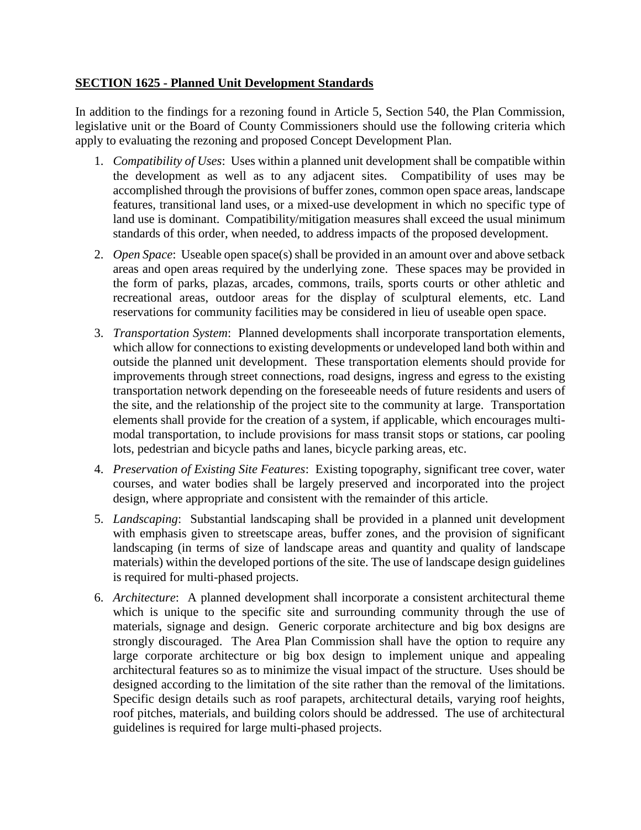#### **SECTION 1625 - Planned Unit Development Standards**

In addition to the findings for a rezoning found in Article 5, Section 540, the Plan Commission, legislative unit or the Board of County Commissioners should use the following criteria which apply to evaluating the rezoning and proposed Concept Development Plan.

- 1. *Compatibility of Uses*: Uses within a planned unit development shall be compatible within the development as well as to any adjacent sites. Compatibility of uses may be accomplished through the provisions of buffer zones, common open space areas, landscape features, transitional land uses, or a mixed-use development in which no specific type of land use is dominant. Compatibility/mitigation measures shall exceed the usual minimum standards of this order, when needed, to address impacts of the proposed development.
- 2. *Open Space*: Useable open space(s) shall be provided in an amount over and above setback areas and open areas required by the underlying zone. These spaces may be provided in the form of parks, plazas, arcades, commons, trails, sports courts or other athletic and recreational areas, outdoor areas for the display of sculptural elements, etc. Land reservations for community facilities may be considered in lieu of useable open space.
- 3. *Transportation System*: Planned developments shall incorporate transportation elements, which allow for connections to existing developments or undeveloped land both within and outside the planned unit development. These transportation elements should provide for improvements through street connections, road designs, ingress and egress to the existing transportation network depending on the foreseeable needs of future residents and users of the site, and the relationship of the project site to the community at large. Transportation elements shall provide for the creation of a system, if applicable, which encourages multimodal transportation, to include provisions for mass transit stops or stations, car pooling lots, pedestrian and bicycle paths and lanes, bicycle parking areas, etc.
- 4. *Preservation of Existing Site Features*: Existing topography, significant tree cover, water courses, and water bodies shall be largely preserved and incorporated into the project design, where appropriate and consistent with the remainder of this article.
- 5. *Landscaping*: Substantial landscaping shall be provided in a planned unit development with emphasis given to streetscape areas, buffer zones, and the provision of significant landscaping (in terms of size of landscape areas and quantity and quality of landscape materials) within the developed portions of the site. The use of landscape design guidelines is required for multi-phased projects.
- 6. *Architecture*: A planned development shall incorporate a consistent architectural theme which is unique to the specific site and surrounding community through the use of materials, signage and design. Generic corporate architecture and big box designs are strongly discouraged. The Area Plan Commission shall have the option to require any large corporate architecture or big box design to implement unique and appealing architectural features so as to minimize the visual impact of the structure. Uses should be designed according to the limitation of the site rather than the removal of the limitations. Specific design details such as roof parapets, architectural details, varying roof heights, roof pitches, materials, and building colors should be addressed. The use of architectural guidelines is required for large multi-phased projects.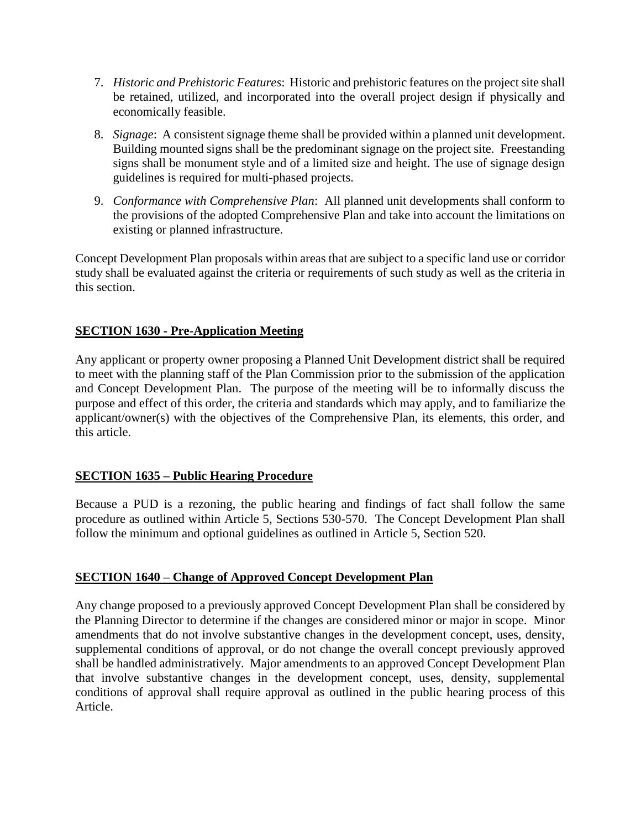- 7. *Historic and Prehistoric Features*: Historic and prehistoric features on the project site shall be retained, utilized, and incorporated into the overall project design if physically and economically feasible.
- 8. *Signage*: A consistent signage theme shall be provided within a planned unit development. Building mounted signs shall be the predominant signage on the project site. Freestanding signs shall be monument style and of a limited size and height. The use of signage design guidelines is required for multi-phased projects.
- 9. *Conformance with Comprehensive Plan*: All planned unit developments shall conform to the provisions of the adopted Comprehensive Plan and take into account the limitations on existing or planned infrastructure.

Concept Development Plan proposals within areas that are subject to a specific land use or corridor study shall be evaluated against the criteria or requirements of such study as well as the criteria in this section.

# **SECTION 1630 - Pre-Application Meeting**

Any applicant or property owner proposing a Planned Unit Development district shall be required to meet with the planning staff of the Plan Commission prior to the submission of the application and Concept Development Plan. The purpose of the meeting will be to informally discuss the purpose and effect of this order, the criteria and standards which may apply, and to familiarize the applicant/owner(s) with the objectives of the Comprehensive Plan, its elements, this order, and this article.

### **SECTION 1635 – Public Hearing Procedure**

Because a PUD is a rezoning, the public hearing and findings of fact shall follow the same procedure as outlined within Article 5, Sections 530-570. The Concept Development Plan shall follow the minimum and optional guidelines as outlined in Article 5, Section 520.

# **SECTION 1640 – Change of Approved Concept Development Plan**

Any change proposed to a previously approved Concept Development Plan shall be considered by the Planning Director to determine if the changes are considered minor or major in scope. Minor amendments that do not involve substantive changes in the development concept, uses, density, supplemental conditions of approval, or do not change the overall concept previously approved shall be handled administratively. Major amendments to an approved Concept Development Plan that involve substantive changes in the development concept, uses, density, supplemental conditions of approval shall require approval as outlined in the public hearing process of this Article.